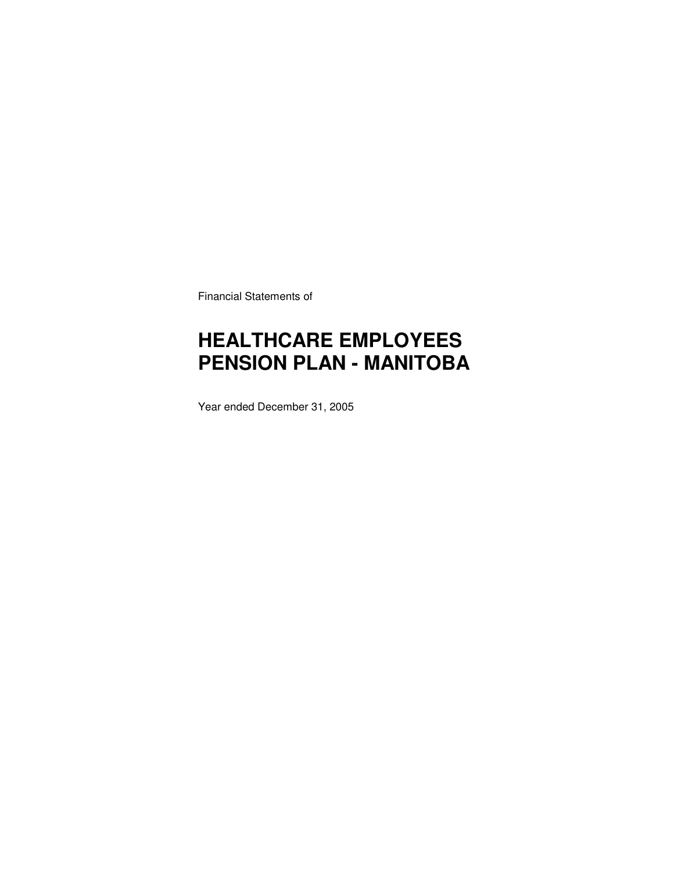Financial Statements of

# **HEALTHCARE EMPLOYEES PENSION PLAN - MANITOBA**

Year ended December 31, 2005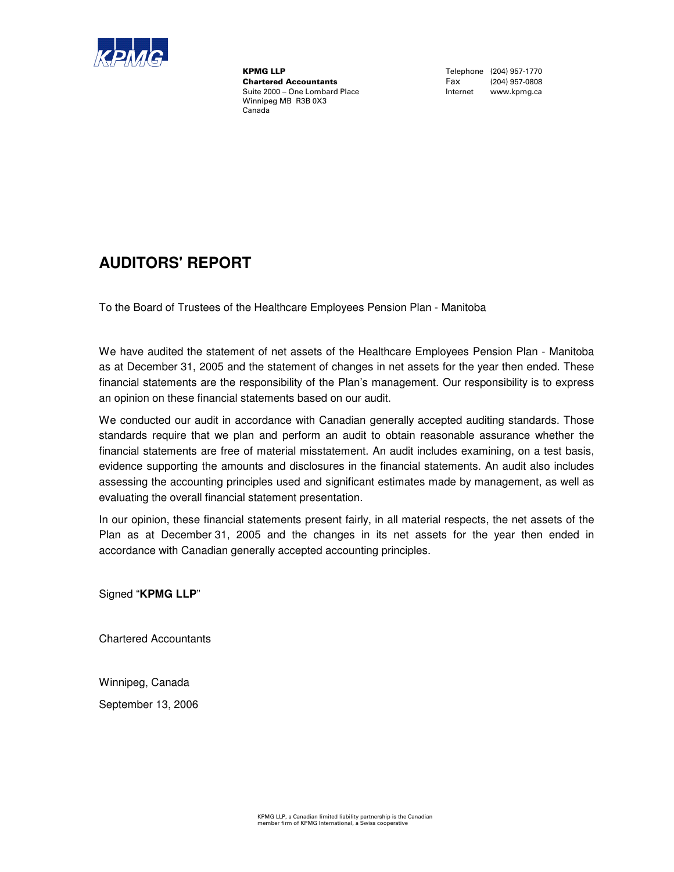

**KPMG LLP**<br>
Chartered Accountants<br>
Chartered Accountants<br>
Tax (204) 957-0808 Chartered Accountants Fax (204) 957-0808 Suite 2000 – One Lombard Place Winnipeg MB R3B 0X3 Canada

### **AUDITORS' REPORT**

To the Board of Trustees of the Healthcare Employees Pension Plan - Manitoba

We have audited the statement of net assets of the Healthcare Employees Pension Plan - Manitoba as at December 31, 2005 and the statement of changes in net assets for the year then ended. These financial statements are the responsibility of the Plan's management. Our responsibility is to express an opinion on these financial statements based on our audit.

We conducted our audit in accordance with Canadian generally accepted auditing standards. Those standards require that we plan and perform an audit to obtain reasonable assurance whether the financial statements are free of material misstatement. An audit includes examining, on a test basis, evidence supporting the amounts and disclosures in the financial statements. An audit also includes assessing the accounting principles used and significant estimates made by management, as well as evaluating the overall financial statement presentation.

In our opinion, these financial statements present fairly, in all material respects, the net assets of the Plan as at December 31, 2005 and the changes in its net assets for the year then ended in accordance with Canadian generally accepted accounting principles.

Signed "**KPMG LLP**"

Chartered Accountants

Winnipeg, Canada

September 13, 2006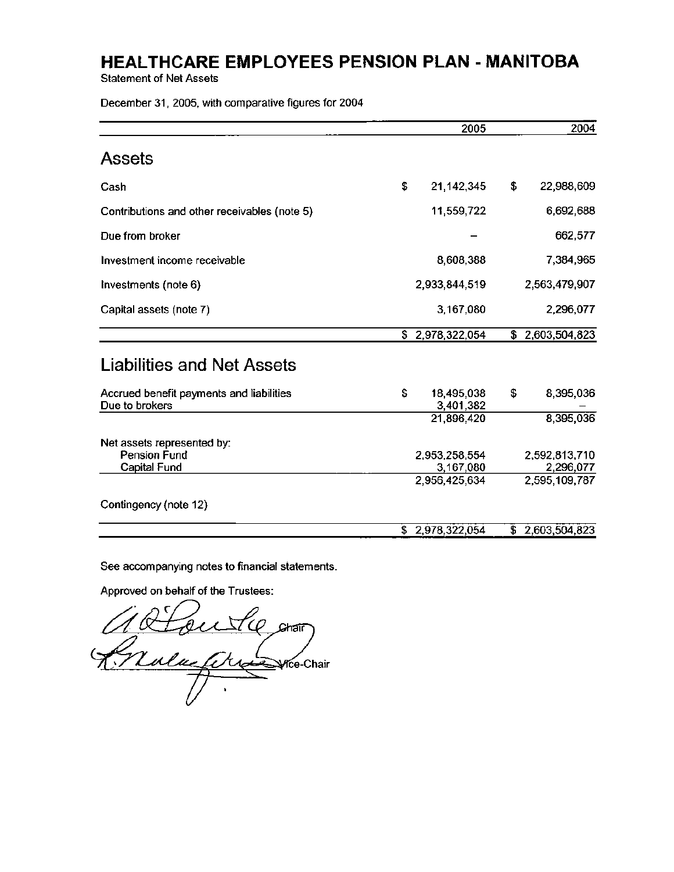**Statement of Net Assets** 

December 31, 2005, with comparative figures for 2004

|                                                            | 2005                                        | 2004                                        |
|------------------------------------------------------------|---------------------------------------------|---------------------------------------------|
| <b>Assets</b>                                              |                                             |                                             |
| Cash                                                       | \$<br>21, 142, 345                          | \$<br>22,988,609                            |
| Contributions and other receivables (note 5)               | 11,559,722                                  | 6,692,688                                   |
| Due from broker                                            |                                             | 662,577                                     |
| Investment income receivable                               | 8,608,388                                   | 7,384,965                                   |
| Investments (note 6)                                       | 2,933,844,519                               | 2,563,479,907                               |
| Capital assets (note 7)                                    | 3,167,080                                   | 2,296,077                                   |
|                                                            | \$2,978,322,054                             | \$2,603,504,823                             |
| Liabilities and Net Assets                                 |                                             |                                             |
| Accrued benefit payments and liabilities<br>Due to brokers | \$<br>18,495,038<br>3,401,382               | \$<br>8,395,036                             |
|                                                            | 21,896,420                                  | 8,395,036                                   |
| Net assets represented by:<br>Pension Fund<br>Capital Fund | 2,953,258,554<br>3,167,080<br>2,956,425,634 | 2,592,813,710<br>2,296,077<br>2,595,109,787 |
| Contingency (note 12)                                      |                                             |                                             |
|                                                            | \$2,978,322,054                             | \$2,603,504,823                             |

See accompanying notes to financial statements.

Approved on behalf of the Trustees:

Altoutle on Yce-Chair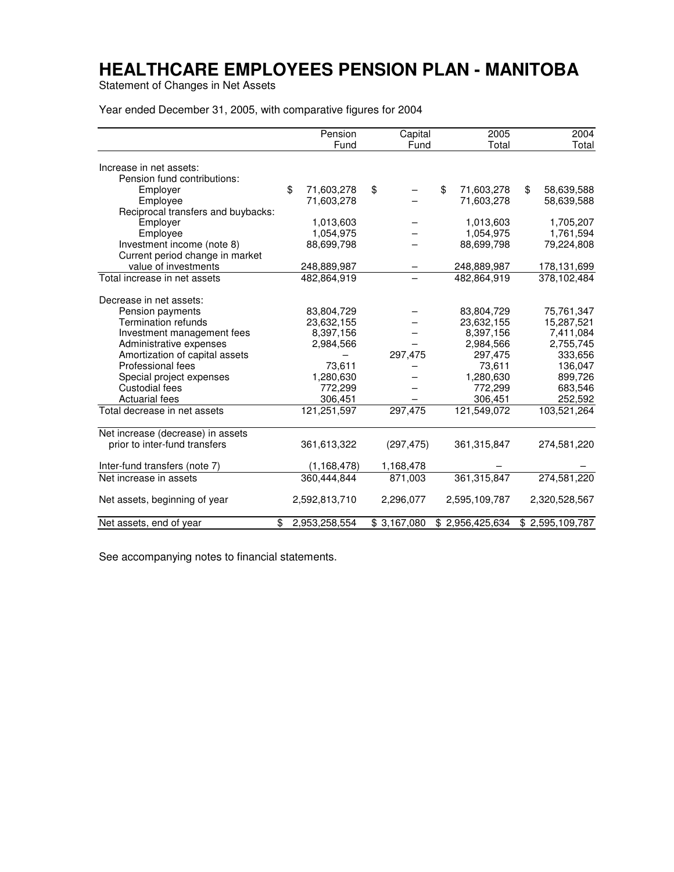Statement of Changes in Net Assets

Year ended December 31, 2005, with comparative figures for 2004

|                                    | Pension             | Capital                 | 2005                        | 2004             |
|------------------------------------|---------------------|-------------------------|-----------------------------|------------------|
|                                    | Fund                | Fund                    | Total                       | Total            |
| Increase in net assets:            |                     |                         |                             |                  |
| Pension fund contributions:        |                     |                         |                             |                  |
| Employer                           | \$<br>71,603,278    | \$                      | \$<br>71,603,278            | \$<br>58,639,588 |
| Employee                           | 71,603,278          |                         | 71,603,278                  | 58,639,588       |
| Reciprocal transfers and buybacks: |                     |                         |                             |                  |
| Employer                           | 1,013,603           |                         | 1,013,603                   | 1,705,207        |
| Employee                           | 1,054,975           |                         | 1,054,975                   | 1,761,594        |
| Investment income (note 8)         | 88,699,798          |                         | 88,699,798                  | 79,224,808       |
| Current period change in market    |                     |                         |                             |                  |
| value of investments               | 248,889,987         |                         | 248,889,987                 | 178,131,699      |
| Total increase in net assets       | 482,864,919         |                         | 482.864.919                 | 378,102,484      |
|                                    |                     |                         |                             |                  |
| Decrease in net assets:            |                     |                         |                             |                  |
| Pension payments                   | 83,804,729          |                         | 83,804,729                  | 75,761,347       |
| <b>Termination refunds</b>         | 23,632,155          |                         | 23,632,155                  | 15,287,521       |
| Investment management fees         | 8,397,156           |                         | 8,397,156                   | 7,411,084        |
| Administrative expenses            | 2,984,566           |                         | 2,984,566                   | 2,755,745        |
| Amortization of capital assets     |                     | 297,475                 | 297,475                     | 333,656          |
| Professional fees                  | 73,611              |                         | 73,611                      | 136,047          |
| Special project expenses           | 1,280,630           |                         | 1,280,630                   | 899,726          |
| Custodial fees                     | 772,299             |                         | 772,299                     | 683,546          |
| Actuarial fees                     | 306,451             |                         | 306,451                     | 252,592          |
| Total decrease in net assets       | 121,251,597         | 297,475                 | 121,549,072                 | 103,521,264      |
| Net increase (decrease) in assets  |                     |                         |                             |                  |
| prior to inter-fund transfers      | 361,613,322         | (297, 475)              | 361, 315, 847               | 274,581,220      |
|                                    |                     |                         |                             |                  |
| Inter-fund transfers (note 7)      | (1, 168, 478)       | 1,168,478               |                             |                  |
| Net increase in assets             | 360,444,844         | 871,003                 | 361, 315, 847               | 274,581,220      |
| Net assets, beginning of year      | 2,592,813,710       | 2,296,077               | 2,595,109,787               | 2,320,528,567    |
| Net assets, end of year            | \$<br>2,953,258,554 | $\overline{$}3,167,080$ | $$2,956,425,\overline{634}$ | \$2,595,109,787  |

See accompanying notes to financial statements.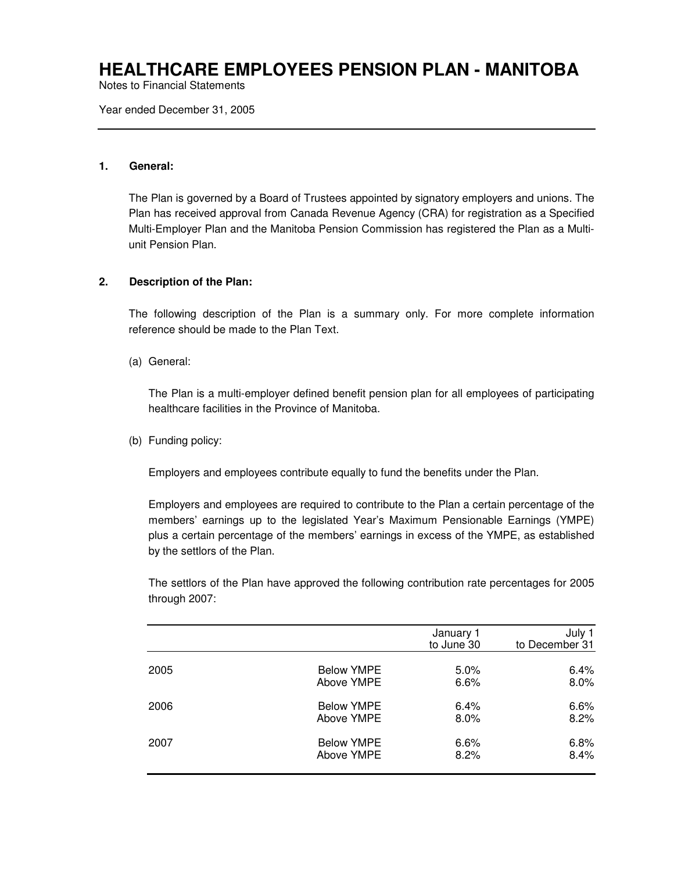Notes to Financial Statements

Year ended December 31, 2005

#### **1. General:**

The Plan is governed by a Board of Trustees appointed by signatory employers and unions. The Plan has received approval from Canada Revenue Agency (CRA) for registration as a Specified Multi-Employer Plan and the Manitoba Pension Commission has registered the Plan as a Multiunit Pension Plan.

#### **2. Description of the Plan:**

The following description of the Plan is a summary only. For more complete information reference should be made to the Plan Text.

(a) General:

The Plan is a multi-employer defined benefit pension plan for all employees of participating healthcare facilities in the Province of Manitoba.

(b) Funding policy:

Employers and employees contribute equally to fund the benefits under the Plan.

Employers and employees are required to contribute to the Plan a certain percentage of the members' earnings up to the legislated Year's Maximum Pensionable Earnings (YMPE) plus a certain percentage of the members' earnings in excess of the YMPE, as established by the settlors of the Plan.

The settlors of the Plan have approved the following contribution rate percentages for 2005 through 2007:

|      |                   | January 1<br>to June 30 | July 1<br>to December 31 |
|------|-------------------|-------------------------|--------------------------|
| 2005 | <b>Below YMPE</b> | 5.0%                    | 6.4%                     |
|      | Above YMPE        | 6.6%                    | 8.0%                     |
| 2006 | <b>Below YMPE</b> | 6.4%                    | 6.6%                     |
|      | Above YMPE        | $8.0\%$                 | 8.2%                     |
| 2007 | <b>Below YMPE</b> | 6.6%                    | 6.8%                     |
|      | Above YMPE        | 8.2%                    | 8.4%                     |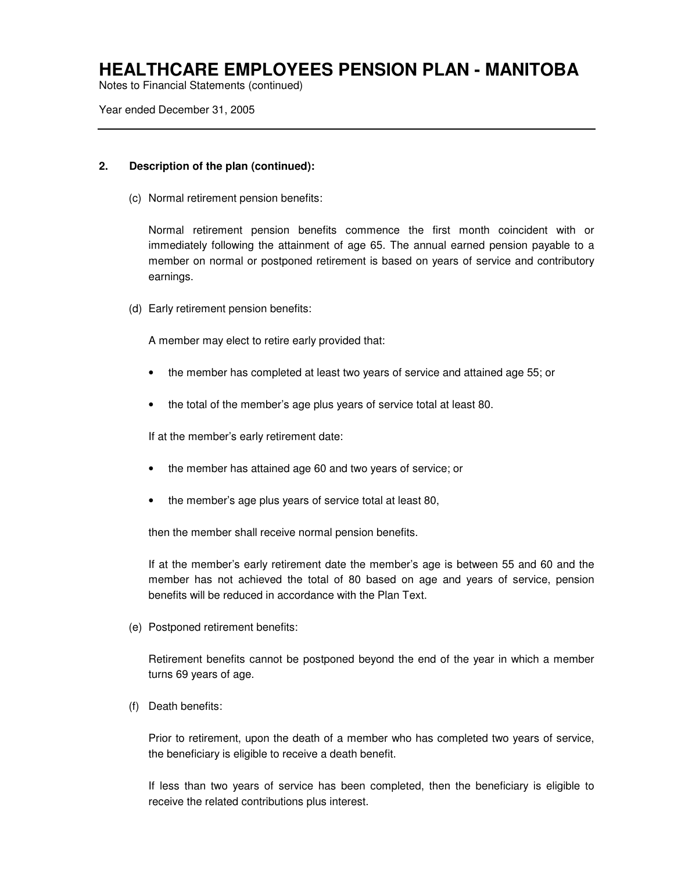Notes to Financial Statements (continued)

Year ended December 31, 2005

#### **2. Description of the plan (continued):**

(c) Normal retirement pension benefits:

Normal retirement pension benefits commence the first month coincident with or immediately following the attainment of age 65. The annual earned pension payable to a member on normal or postponed retirement is based on years of service and contributory earnings.

(d) Early retirement pension benefits:

A member may elect to retire early provided that:

- the member has completed at least two years of service and attained age 55; or
- the total of the member's age plus years of service total at least 80.

If at the member's early retirement date:

- the member has attained age 60 and two years of service; or
- the member's age plus years of service total at least 80,

then the member shall receive normal pension benefits.

If at the member's early retirement date the member's age is between 55 and 60 and the member has not achieved the total of 80 based on age and years of service, pension benefits will be reduced in accordance with the Plan Text.

(e) Postponed retirement benefits:

Retirement benefits cannot be postponed beyond the end of the year in which a member turns 69 years of age.

(f) Death benefits:

Prior to retirement, upon the death of a member who has completed two years of service, the beneficiary is eligible to receive a death benefit.

If less than two years of service has been completed, then the beneficiary is eligible to receive the related contributions plus interest.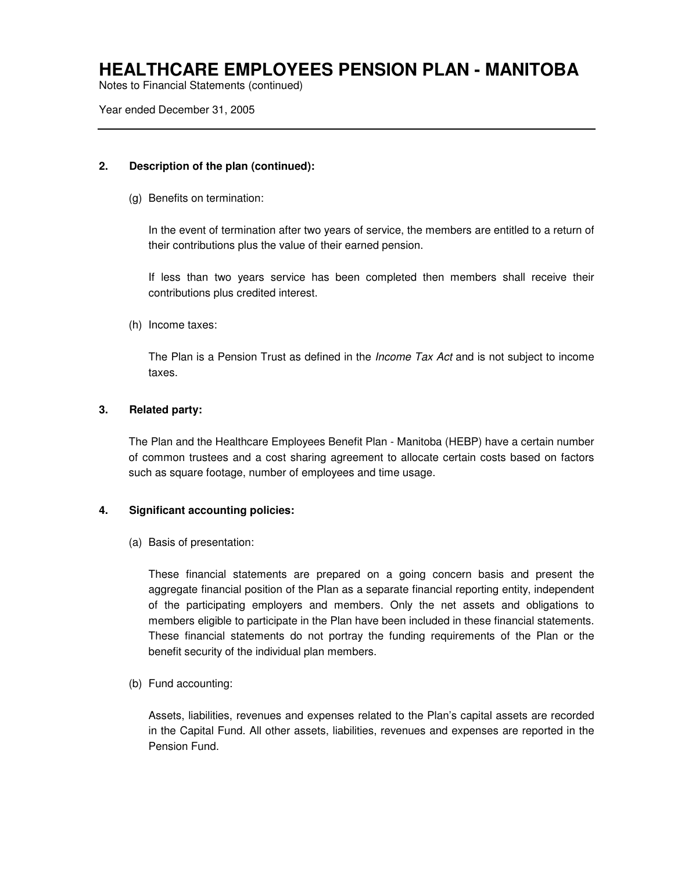Notes to Financial Statements (continued)

Year ended December 31, 2005

#### **2. Description of the plan (continued):**

(g) Benefits on termination:

In the event of termination after two years of service, the members are entitled to a return of their contributions plus the value of their earned pension.

If less than two years service has been completed then members shall receive their contributions plus credited interest.

(h) Income taxes:

The Plan is a Pension Trust as defined in the *Income Tax Act* and is not subject to income taxes.

#### **3. Related party:**

The Plan and the Healthcare Employees Benefit Plan - Manitoba (HEBP) have a certain number of common trustees and a cost sharing agreement to allocate certain costs based on factors such as square footage, number of employees and time usage.

#### **4. Significant accounting policies:**

(a) Basis of presentation:

These financial statements are prepared on a going concern basis and present the aggregate financial position of the Plan as a separate financial reporting entity, independent of the participating employers and members. Only the net assets and obligations to members eligible to participate in the Plan have been included in these financial statements. These financial statements do not portray the funding requirements of the Plan or the benefit security of the individual plan members.

(b) Fund accounting:

Assets, liabilities, revenues and expenses related to the Plan's capital assets are recorded in the Capital Fund. All other assets, liabilities, revenues and expenses are reported in the Pension Fund.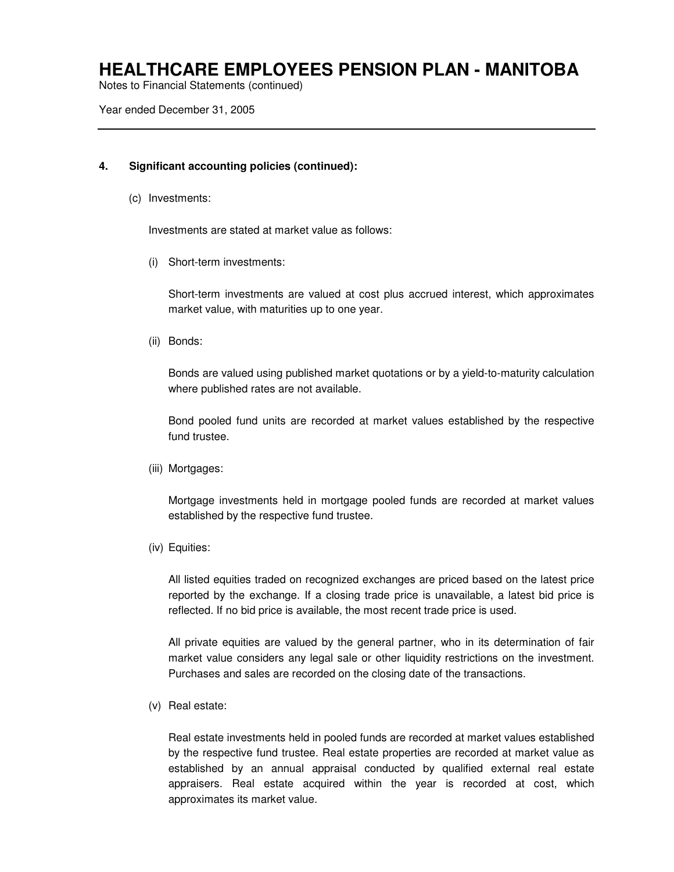Notes to Financial Statements (continued)

Year ended December 31, 2005

#### **4. Significant accounting policies (continued):**

(c) Investments:

Investments are stated at market value as follows:

(i) Short-term investments:

Short-term investments are valued at cost plus accrued interest, which approximates market value, with maturities up to one year.

(ii) Bonds:

Bonds are valued using published market quotations or by a yield-to-maturity calculation where published rates are not available.

Bond pooled fund units are recorded at market values established by the respective fund trustee.

(iii) Mortgages:

Mortgage investments held in mortgage pooled funds are recorded at market values established by the respective fund trustee.

(iv) Equities:

All listed equities traded on recognized exchanges are priced based on the latest price reported by the exchange. If a closing trade price is unavailable, a latest bid price is reflected. If no bid price is available, the most recent trade price is used.

All private equities are valued by the general partner, who in its determination of fair market value considers any legal sale or other liquidity restrictions on the investment. Purchases and sales are recorded on the closing date of the transactions.

(v) Real estate:

Real estate investments held in pooled funds are recorded at market values established by the respective fund trustee. Real estate properties are recorded at market value as established by an annual appraisal conducted by qualified external real estate appraisers. Real estate acquired within the year is recorded at cost, which approximates its market value.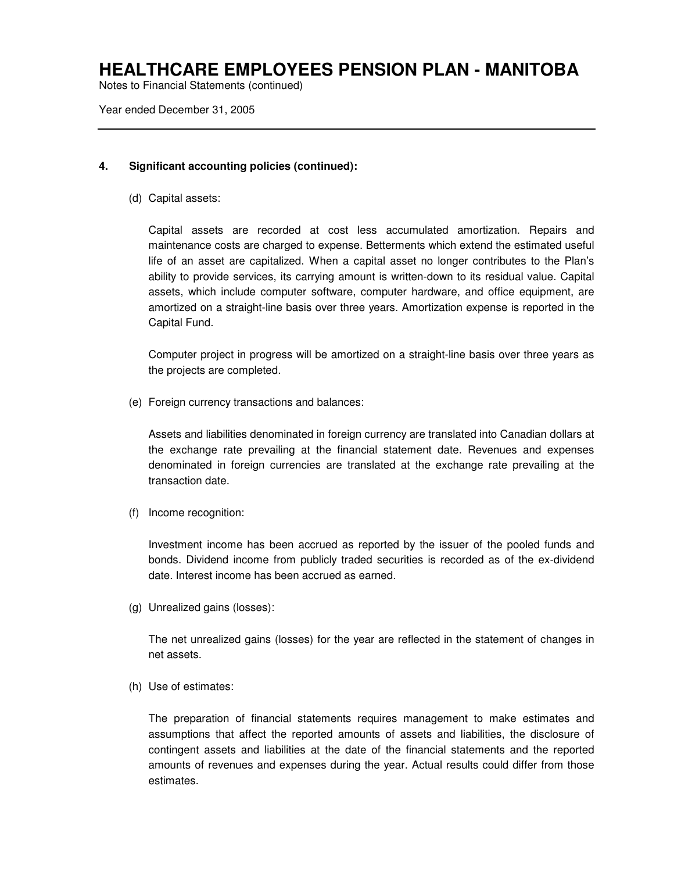Notes to Financial Statements (continued)

Year ended December 31, 2005

#### **4. Significant accounting policies (continued):**

(d) Capital assets:

Capital assets are recorded at cost less accumulated amortization. Repairs and maintenance costs are charged to expense. Betterments which extend the estimated useful life of an asset are capitalized. When a capital asset no longer contributes to the Plan's ability to provide services, its carrying amount is written-down to its residual value. Capital assets, which include computer software, computer hardware, and office equipment, are amortized on a straight-line basis over three years. Amortization expense is reported in the Capital Fund.

Computer project in progress will be amortized on a straight-line basis over three years as the projects are completed.

(e) Foreign currency transactions and balances:

Assets and liabilities denominated in foreign currency are translated into Canadian dollars at the exchange rate prevailing at the financial statement date. Revenues and expenses denominated in foreign currencies are translated at the exchange rate prevailing at the transaction date.

(f) Income recognition:

Investment income has been accrued as reported by the issuer of the pooled funds and bonds. Dividend income from publicly traded securities is recorded as of the ex-dividend date. Interest income has been accrued as earned.

(g) Unrealized gains (losses):

The net unrealized gains (losses) for the year are reflected in the statement of changes in net assets.

(h) Use of estimates:

The preparation of financial statements requires management to make estimates and assumptions that affect the reported amounts of assets and liabilities, the disclosure of contingent assets and liabilities at the date of the financial statements and the reported amounts of revenues and expenses during the year. Actual results could differ from those estimates.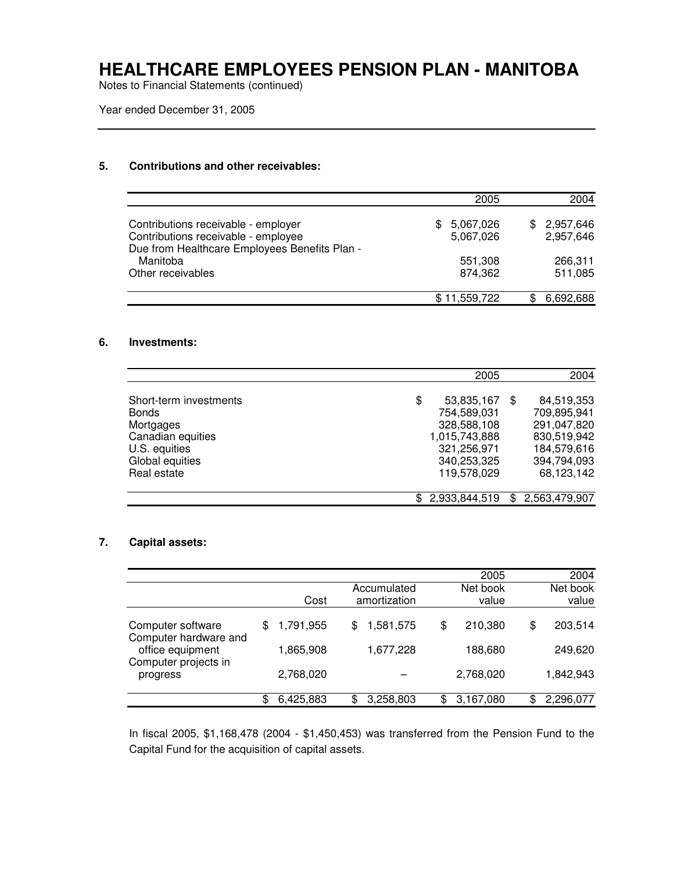Notes to Financial Statements (continued)

Year ended December 31, 2005

#### **5. Contributions and other receivables:**

|                                                                                                                             | 2005                          | 2004                          |
|-----------------------------------------------------------------------------------------------------------------------------|-------------------------------|-------------------------------|
| Contributions receivable - employer<br>Contributions receivable - employee<br>Due from Healthcare Employees Benefits Plan - | 5,067,026<br>SS.<br>5,067,026 | 2,957,646<br>\$.<br>2,957,646 |
| Manitoba<br>Other receivables                                                                                               | 551,308<br>874,362            | 266,311<br>511,085            |
|                                                                                                                             | \$11,559,722                  | 6,692,688                     |

#### **6. Investments:**

|                        |     | 2005          | 2004                 |
|------------------------|-----|---------------|----------------------|
|                        |     |               |                      |
| Short-term investments | \$  | 53,835,167    | 84,519,353<br>\$.    |
| <b>Bonds</b>           |     | 754,589,031   | 709,895,941          |
| Mortgages              |     | 328,588,108   | 291,047,820          |
| Canadian equities      |     | 1,015,743,888 | 830,519,942          |
| U.S. equities          |     | 321,256,971   | 184,579,616          |
| Global equities        |     | 340,253,325   | 394,794,093          |
| Real estate            |     | 119,578,029   | 68,123,142           |
|                        |     |               |                      |
|                        | \$. | 2,933,844,519 | 2,563,479,907<br>\$. |

#### **7. Capital assets:**

|                                                                   |    |           |                             | 2005              |    | 2004              |
|-------------------------------------------------------------------|----|-----------|-----------------------------|-------------------|----|-------------------|
|                                                                   |    | Cost      | Accumulated<br>amortization | Net book<br>value |    | Net book<br>value |
| Computer software                                                 | S  | 1,791,955 | \$<br>1,581,575             | \$<br>210,380     | \$ | 203,514           |
| Computer hardware and<br>office equipment<br>Computer projects in |    | 1,865,908 | 1,677,228                   | 188,680           |    | 249,620           |
| progress                                                          |    | 2,768,020 |                             | 2,768,020         |    | 1,842,943         |
|                                                                   | \$ | 6,425,883 | \$<br>3,258,803             | \$<br>3,167,080   | ß. | 2,296,077         |

In fiscal 2005, \$1,168,478 (2004 - \$1,450,453) was transferred from the Pension Fund to the Capital Fund for the acquisition of capital assets.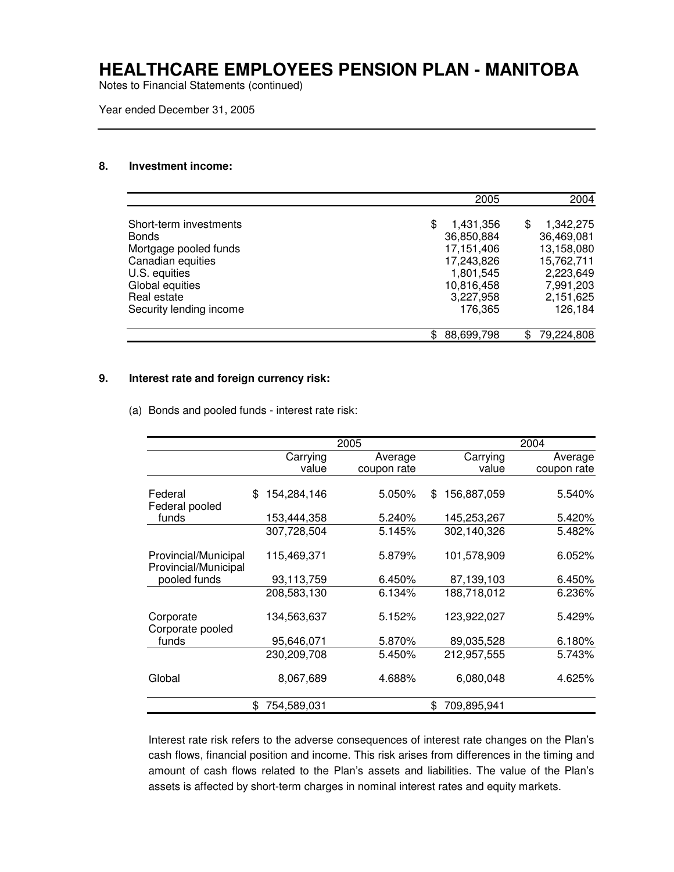Notes to Financial Statements (continued)

Year ended December 31, 2005

#### **8. Investment income:**

|                         | 2005            | 2004            |
|-------------------------|-----------------|-----------------|
| Short-term investments  | \$<br>1,431,356 | \$<br>1,342,275 |
| <b>Bonds</b>            | 36,850,884      | 36,469,081      |
| Mortgage pooled funds   | 17,151,406      | 13,158,080      |
| Canadian equities       | 17,243,826      | 15,762,711      |
| U.S. equities           | 1,801,545       | 2,223,649       |
| Global equities         | 10,816,458      | 7,991,203       |
| Real estate             | 3,227,958       | 2,151,625       |
| Security lending income | 176,365         | 126,184         |
|                         | 88,699,798      | 79,224,808      |

#### **9. Interest rate and foreign currency risk:**

(a) Bonds and pooled funds - interest rate risk:

|                                              |                   | 2005 |             |                    | 2004        |
|----------------------------------------------|-------------------|------|-------------|--------------------|-------------|
|                                              | Carrying          |      | Average     | Carrying           | Average     |
|                                              | value             |      | coupon rate | value              | coupon rate |
| Federal<br>Federal pooled                    | \$<br>154,284,146 |      | 5.050%      | 156,887,059<br>\$. | 5.540%      |
| funds                                        | 153,444,358       |      | 5.240%      | 145,253,267        | 5.420%      |
|                                              | 307,728,504       |      | 5.145%      | 302,140,326        | 5.482%      |
| Provincial/Municipal<br>Provincial/Municipal | 115,469,371       |      | 5.879%      | 101,578,909        | 6.052%      |
| pooled funds                                 | 93,113,759        |      | 6.450%      | 87,139,103         | 6.450%      |
|                                              | 208,583,130       |      | 6.134%      | 188,718,012        | 6.236%      |
| Corporate<br>Corporate pooled                | 134,563,637       |      | 5.152%      | 123,922,027        | 5.429%      |
| funds                                        | 95,646,071        |      | 5.870%      | 89,035,528         | 6.180%      |
|                                              | 230,209,708       |      | 5.450%      | 212,957,555        | 5.743%      |
| Global                                       | 8,067,689         |      | 4.688%      | 6,080,048          | 4.625%      |
|                                              | \$<br>754,589,031 |      |             | 709,895,941        |             |

Interest rate risk refers to the adverse consequences of interest rate changes on the Plan's cash flows, financial position and income. This risk arises from differences in the timing and amount of cash flows related to the Plan's assets and liabilities. The value of the Plan's assets is affected by short-term charges in nominal interest rates and equity markets.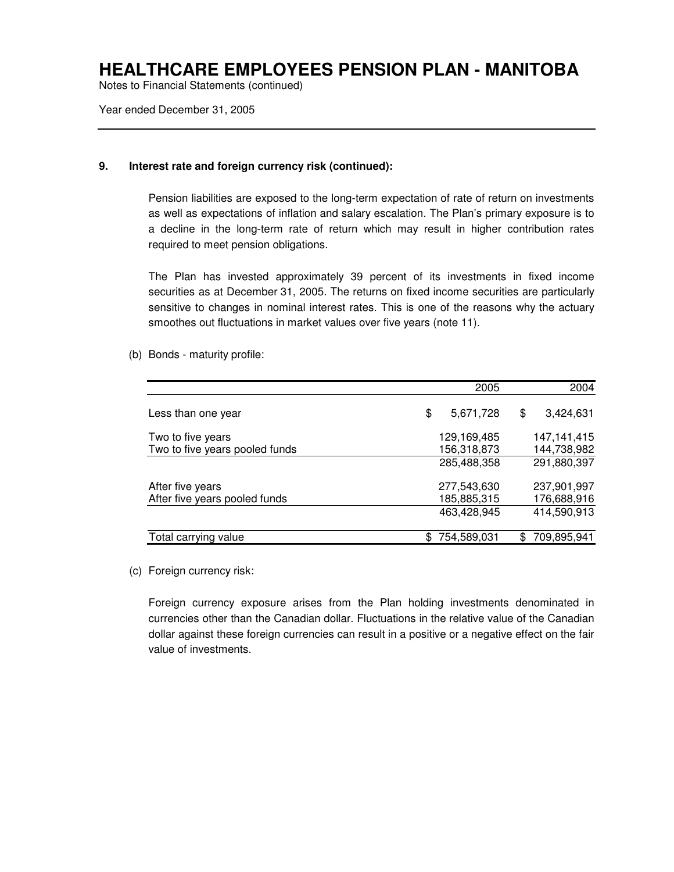Notes to Financial Statements (continued)

Year ended December 31, 2005

#### **9. Interest rate and foreign currency risk (continued):**

Pension liabilities are exposed to the long-term expectation of rate of return on investments as well as expectations of inflation and salary escalation. The Plan's primary exposure is to a decline in the long-term rate of return which may result in higher contribution rates required to meet pension obligations.

The Plan has invested approximately 39 percent of its investments in fixed income securities as at December 31, 2005. The returns on fixed income securities are particularly sensitive to changes in nominal interest rates. This is one of the reasons why the actuary smoothes out fluctuations in market values over five years (note 11).

(b) Bonds - maturity profile:

|                                | 2005            | 2004              |
|--------------------------------|-----------------|-------------------|
| Less than one year             | \$<br>5,671,728 | \$<br>3,424,631   |
| Two to five years              | 129,169,485     | 147,141,415       |
| Two to five years pooled funds | 156,318,873     | 144,738,982       |
|                                | 285,488,358     | 291,880,397       |
| After five years               | 277,543,630     | 237,901,997       |
| After five years pooled funds  | 185,885,315     | 176,688,916       |
|                                | 463,428,945     | 414,590,913       |
| Total carrying value           | 754,589,031     | \$<br>709,895,941 |

(c) Foreign currency risk:

Foreign currency exposure arises from the Plan holding investments denominated in currencies other than the Canadian dollar. Fluctuations in the relative value of the Canadian dollar against these foreign currencies can result in a positive or a negative effect on the fair value of investments.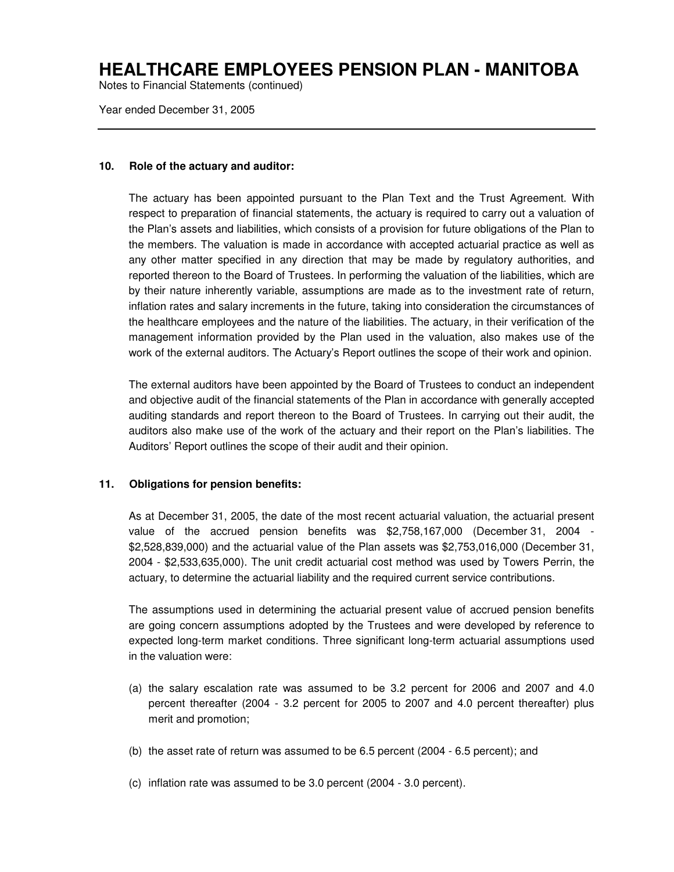Notes to Financial Statements (continued)

Year ended December 31, 2005

#### **10. Role of the actuary and auditor:**

The actuary has been appointed pursuant to the Plan Text and the Trust Agreement. With respect to preparation of financial statements, the actuary is required to carry out a valuation of the Plan's assets and liabilities, which consists of a provision for future obligations of the Plan to the members. The valuation is made in accordance with accepted actuarial practice as well as any other matter specified in any direction that may be made by regulatory authorities, and reported thereon to the Board of Trustees. In performing the valuation of the liabilities, which are by their nature inherently variable, assumptions are made as to the investment rate of return, inflation rates and salary increments in the future, taking into consideration the circumstances of the healthcare employees and the nature of the liabilities. The actuary, in their verification of the management information provided by the Plan used in the valuation, also makes use of the work of the external auditors. The Actuary's Report outlines the scope of their work and opinion.

The external auditors have been appointed by the Board of Trustees to conduct an independent and objective audit of the financial statements of the Plan in accordance with generally accepted auditing standards and report thereon to the Board of Trustees. In carrying out their audit, the auditors also make use of the work of the actuary and their report on the Plan's liabilities. The Auditors' Report outlines the scope of their audit and their opinion.

#### **11. Obligations for pension benefits:**

As at December 31, 2005, the date of the most recent actuarial valuation, the actuarial present value of the accrued pension benefits was \$2,758,167,000 (December 31, 2004 - \$2,528,839,000) and the actuarial value of the Plan assets was \$2,753,016,000 (December 31, 2004 - \$2,533,635,000). The unit credit actuarial cost method was used by Towers Perrin, the actuary, to determine the actuarial liability and the required current service contributions.

The assumptions used in determining the actuarial present value of accrued pension benefits are going concern assumptions adopted by the Trustees and were developed by reference to expected long-term market conditions. Three significant long-term actuarial assumptions used in the valuation were:

- (a) the salary escalation rate was assumed to be 3.2 percent for 2006 and 2007 and 4.0 percent thereafter (2004 - 3.2 percent for 2005 to 2007 and 4.0 percent thereafter) plus merit and promotion;
- (b) the asset rate of return was assumed to be 6.5 percent (2004 6.5 percent); and
- (c) inflation rate was assumed to be 3.0 percent (2004 3.0 percent).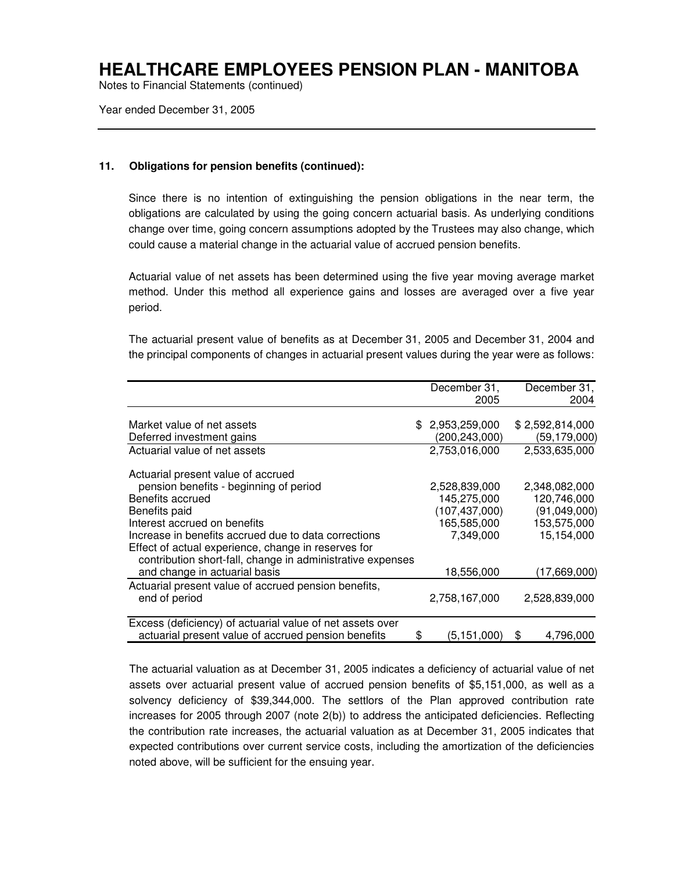Notes to Financial Statements (continued)

Year ended December 31, 2005

#### **11. Obligations for pension benefits (continued):**

Since there is no intention of extinguishing the pension obligations in the near term, the obligations are calculated by using the going concern actuarial basis. As underlying conditions change over time, going concern assumptions adopted by the Trustees may also change, which could cause a material change in the actuarial value of accrued pension benefits.

Actuarial value of net assets has been determined using the five year moving average market method. Under this method all experience gains and losses are averaged over a five year period.

The actuarial present value of benefits as at December 31, 2005 and December 31, 2004 and the principal components of changes in actuarial present values during the year were as follows:

|                                                            | December 31,      | December 31,    |
|------------------------------------------------------------|-------------------|-----------------|
|                                                            | 2005              | 2004            |
|                                                            |                   |                 |
| Market value of net assets                                 | \$2,953,259,000   | \$2,592,814,000 |
| Deferred investment gains                                  | (200,243,000)     | (59, 179, 000)  |
| Actuarial value of net assets                              | 2,753,016,000     | 2,533,635,000   |
| Actuarial present value of accrued                         |                   |                 |
| pension benefits - beginning of period                     | 2,528,839,000     | 2,348,082,000   |
| Benefits accrued                                           | 145,275,000       | 120,746,000     |
| Benefits paid                                              | (107, 437, 000)   | (91,049,000)    |
| Interest accrued on benefits                               | 165,585,000       | 153,575,000     |
| Increase in benefits accrued due to data corrections       | 7,349,000         | 15,154,000      |
| Effect of actual experience, change in reserves for        |                   |                 |
| contribution short-fall, change in administrative expenses |                   |                 |
| and change in actuarial basis                              | 18,556,000        | (17,669,000)    |
| Actuarial present value of accrued pension benefits,       |                   |                 |
| end of period                                              | 2,758,167,000     | 2,528,839,000   |
| Excess (deficiency) of actuarial value of net assets over  |                   |                 |
| actuarial present value of accrued pension benefits        | \$<br>(5,151,000) | 4,796,000<br>\$ |

The actuarial valuation as at December 31, 2005 indicates a deficiency of actuarial value of net assets over actuarial present value of accrued pension benefits of \$5,151,000, as well as a solvency deficiency of \$39,344,000. The settlors of the Plan approved contribution rate increases for 2005 through 2007 (note 2(b)) to address the anticipated deficiencies. Reflecting the contribution rate increases, the actuarial valuation as at December 31, 2005 indicates that expected contributions over current service costs, including the amortization of the deficiencies noted above, will be sufficient for the ensuing year.